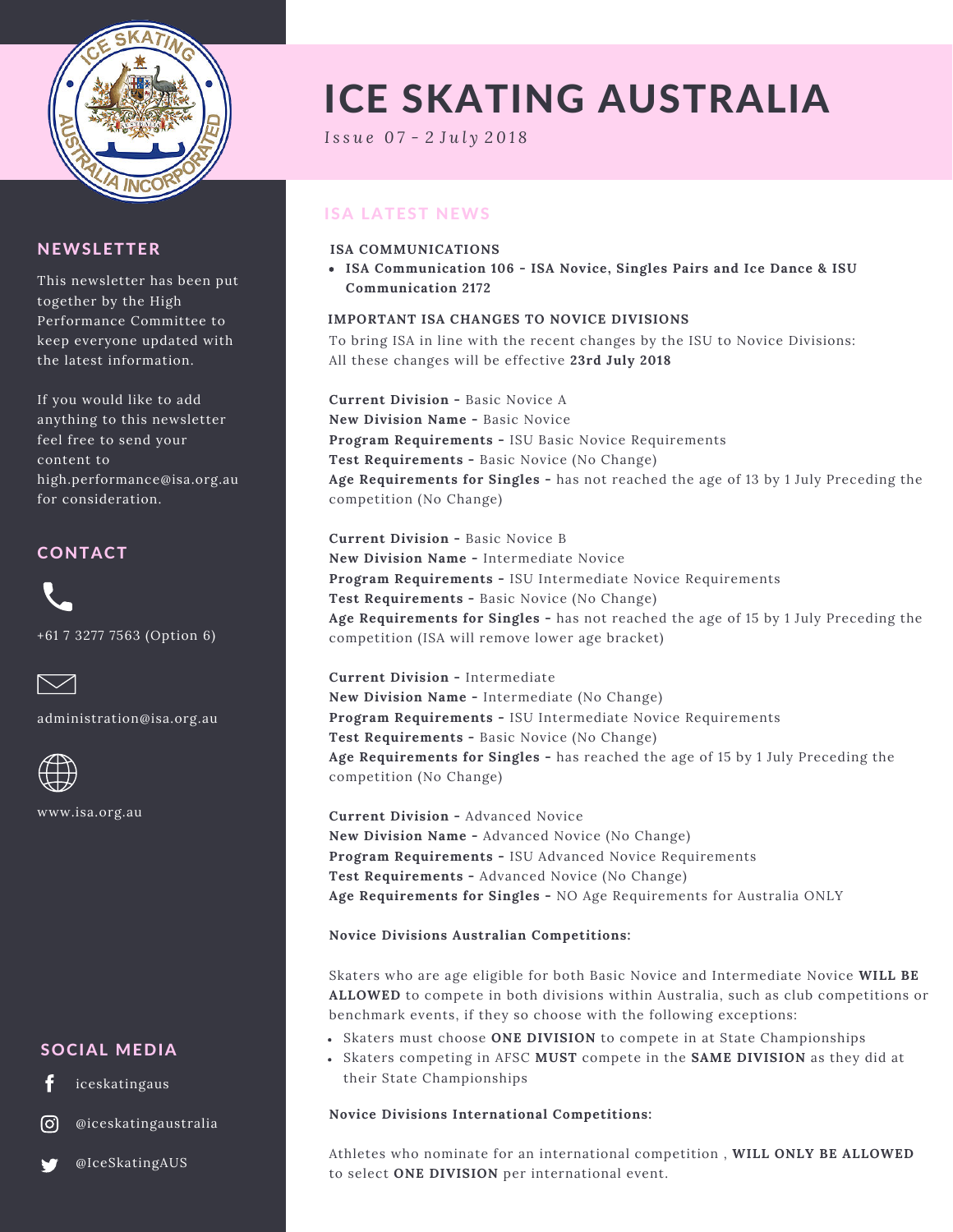

## **NEWSLETTER**

This newsletter has been put together by the High Performance Committee to keep everyone updated with the latest information.

If you would like to add anything to this newsletter feel free to send your content to high.performance@isa.org.au for consideration.

## CONTACT

+61 7 3277 7563 (Option 6)



administration@isa.org.au



www.isa.org.au

## SOCIAL MEDIA

iceskatingaus

@iceskatingaustralia

@IceSkatingAUS

# ICE SKATING AUSTRALIA

*I s s u e 0 7 - 2 J u l y 2 0 1 8*

# ISA LATEST NEWS

### **ISA COMMUNICATIONS**

**ISA Communication 106 - ISA Novice, Singles Pairs and Ice Dance & ISU Communication 2172**

#### **IMPORTANT ISA CHANGES TO NOVICE DIVISIONS**

To bring ISA in line with the recent changes by the ISU to Novice Divisions: All these changes will be effective **23rd July 2018**

**Current Division -** Basic Novice A **New Division Name -** Basic Novice **Program Requirements -** ISU Basic Novice Requirements **Test Requirements -** Basic Novice (No Change) **Age Requirements for Singles -** has not reached the age of 13 by 1 July Preceding the competition (No Change)

**Current Division -** Basic Novice B **New Division Name -** Intermediate Novice **Program Requirements -** ISU Intermediate Novice Requirements **Test Requirements -** Basic Novice (No Change) **Age Requirements for Singles -** has not reached the age of 15 by 1 July Preceding the competition (ISA will remove lower age bracket)

**Current Division -** Intermediate **New Division Name -** Intermediate (No Change) **Program Requirements -** ISU Intermediate Novice Requirements **Test Requirements -** Basic Novice (No Change) **Age Requirements for Singles -** has reached the age of 15 by 1 July Preceding the competition (No Change)

**Current Division -** Advanced Novice **New Division Name -** Advanced Novice (No Change) **Program Requirements -** ISU Advanced Novice Requirements **Test Requirements -** Advanced Novice (No Change) **Age Requirements for Singles -** NO Age Requirements for Australia ONLY

### **Novice Divisions Australian Competitions:**

Skaters who are age eligible for both Basic Novice and Intermediate Novice **WILL BE ALLOWED** to compete in both divisions within Australia, such as club competitions or benchmark events, if they so choose with the following exceptions:

- Skaters must choose **ONE DIVISION** to compete in at State Championships
- Skaters competing in AFSC **MUST** compete in the **SAME DIVISION** as they did at their State Championships

#### **Novice Divisions International Competitions:**

Athletes who nominate for an international competition , **WILL ONLY BE ALLOWED** to select **ONE DIVISION** per international event.